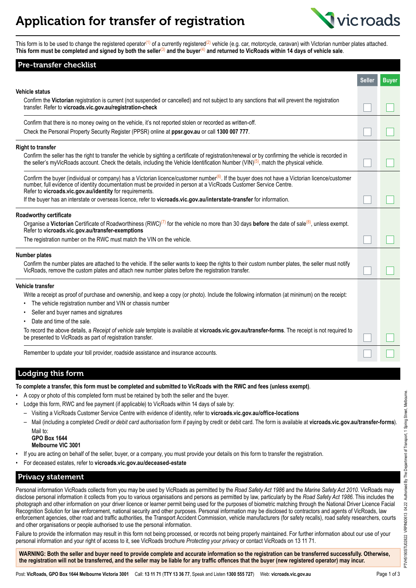## Application for transfer of registration



This form is to be used to change the registered operator<sup>(1)</sup> of a currently registered<sup>(2)</sup> vehicle (e.g. car, motorcycle, caravan) with Victorian number plates attached. **This form must be completed and signed by both the seller**(3) **and the buyer**(4) **and returned to VicRoads within 14 days of vehicle sale**.

| Pre-transfer checklist                                                                                                                                                                                                                                                                                                                     |               |              |
|--------------------------------------------------------------------------------------------------------------------------------------------------------------------------------------------------------------------------------------------------------------------------------------------------------------------------------------------|---------------|--------------|
|                                                                                                                                                                                                                                                                                                                                            | <b>Seller</b> | <b>Buyer</b> |
| <b>Vehicle status</b>                                                                                                                                                                                                                                                                                                                      |               |              |
| Confirm the Victorian registration is current (not suspended or cancelled) and not subject to any sanctions that will prevent the registration<br>transfer. Refer to vicroads.vic.gov.au/registration-check                                                                                                                                |               |              |
| Confirm that there is no money owing on the vehicle, it's not reported stolen or recorded as written-off.                                                                                                                                                                                                                                  |               |              |
| Check the Personal Property Security Register (PPSR) online at ppsr.gov.au or call 1300 007 777.                                                                                                                                                                                                                                           |               |              |
| <b>Right to transfer</b>                                                                                                                                                                                                                                                                                                                   |               |              |
| Confirm the seller has the right to transfer the vehicle by sighting a certificate of registration/renewal or by confirming the vehicle is recorded in<br>the seller's myVicRoads account. Check the details, including the Vehicle Identification Number (VIN) <sup>(5)</sup> , match the physical vehicle.                               |               |              |
| Confirm the buyer (individual or company) has a Victorian licence/customer number <sup>(6)</sup> . If the buyer does not have a Victorian licence/customer<br>number, full evidence of identity documentation must be provided in person at a VicRoads Customer Service Centre.<br>Refer to vicroads.vic.gov.au/identity for requirements. |               |              |
| If the buyer has an interstate or overseas licence, refer to vicroads.vic.gov.au/interstate-transfer for information.                                                                                                                                                                                                                      |               |              |
| Roadworthy certificate                                                                                                                                                                                                                                                                                                                     |               |              |
| Organise a Victorian Certificate of Roadworthiness (RWC) <sup>(7)</sup> for the vehicle no more than 30 days before the date of sale <sup>(8)</sup> , unless exempt.<br>Refer to vicroads.vic.gov.au/transfer-exemptions                                                                                                                   |               |              |
| The registration number on the RWC must match the VIN on the vehicle.                                                                                                                                                                                                                                                                      |               |              |
| <b>Number plates</b>                                                                                                                                                                                                                                                                                                                       |               |              |
| Confirm the number plates are attached to the vehicle. If the seller wants to keep the rights to their custom number plates, the seller must notify<br>VicRoads, remove the custom plates and attach new number plates before the registration transfer.                                                                                   |               |              |
| Vehicle transfer                                                                                                                                                                                                                                                                                                                           |               |              |
| Write a receipt as proof of purchase and ownership, and keep a copy (or photo). Include the following information (at minimum) on the receipt:                                                                                                                                                                                             |               |              |
| The vehicle registration number and VIN or chassis number                                                                                                                                                                                                                                                                                  |               |              |
| Seller and buyer names and signatures                                                                                                                                                                                                                                                                                                      |               |              |
| Date and time of the sale.                                                                                                                                                                                                                                                                                                                 |               |              |
| To record the above details, a Receipt of vehicle sale template is available at vicroads.vic.gov.au/transfer-forms. The receipt is not required to<br>be presented to VicRoads as part of registration transfer.                                                                                                                           |               |              |
| Remember to update your toll provider, roadside assistance and insurance accounts.                                                                                                                                                                                                                                                         |               |              |

Lodging this form

|  |  |  |  |  | To complete a transfer, this form must be completed and submitted to VicRoads with the RWC and fees (unless exempt). |
|--|--|--|--|--|----------------------------------------------------------------------------------------------------------------------|
|--|--|--|--|--|----------------------------------------------------------------------------------------------------------------------|

- A copy or photo of this completed form must be retained by both the seller and the buyer.
- Lodge this form, RWC and fee payment (if applicable) to VicRoads within 14 days of sale by:
- Visiting a VicRoads Customer Service Centre with evidence of identity, refer to **[vicroads.vic.gov.au/office-locations](https://www.vicroads.vic.gov.au/office-locations)**
- Mail (including a completed *Credit or debit card authorisation* form if paying by credit or debit card. The form is available at **[vicroads.vic.gov.au/transfer](https://www.vicroads.vic.gov.au/transfer-forms)-forms**). Mail to:

**GPO Box 1644 Melbourne VIC 3001**

- If you are acting on behalf of the seller, buyer, or a company, you must provide your details on this form to transfer the registration.
- For deceased estates, refer to **[vicroads.vic.gov.au/deceased-estate](https://www.vicroads.vic.gov.au/deceased-estate)**

## Privacy statement

Personal information VicRoads collects from you may be used by VicRoads as permitted by the *Road Safety Act 1986* and the *Marine Safety Act 2010*. VicRoads may disclose personal information it collects from you to various organisations and persons as permitted by law, particularly by the *Road Safety Act 1986*. This includes the photograph and other information on your driver licence or learner permit being used for the purposes of biometric matching through the National Driver Licence Facial Recognition Solution for law enforcement, national security and other purposes. Personal information may be disclosed to contractors and agents of VicRoads, law enforcement agencies, other road and traffic authorities, the Transport Accident Commission, vehicle manufacturers (for safety recalls), road safety researchers, courts and other organisations or people authorised to use the personal information.

Failure to provide the information may result in this form not being processed, or records not being properly maintained. For further information about our use of your personal information and your right of access to it, see VicRoads brochure *Protecting your privacy* or contact VicRoads on 13 11 71.

**WARNING: Both the seller and buyer need to provide complete and accurate information so the registration can be transferred successfully. Otherwise, the registration will not be transferred, and the seller may be liable for any traffic offences that the buyer (new registered operator) may incur.**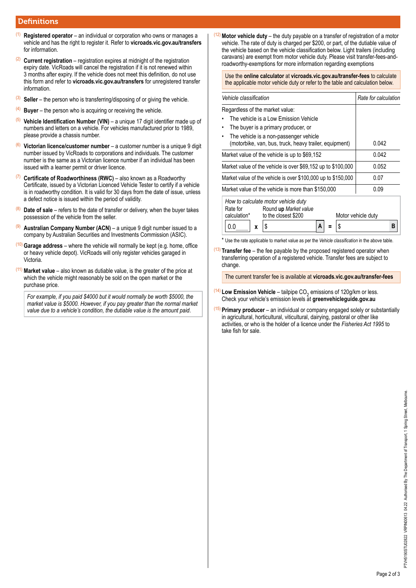## **Definitions**

- (1) **Registered operator** an individual or corporation who owns or manages a vehicle and has the right to register it. Refer to **[vicroads.vic.gov.au/transfers](https://www.vicroads.vic.gov.au)** for information.
- (2) **Current registration** registration expires at midnight of the registration expiry date. VicRoads will cancel the registration if it is not renewed within 3 months after expiry. If the vehicle does not meet this definition, do not use this form and refer to **[vicroads.vic.gov.au/transfers](https://www.vicroads.vic.gov.au/transfers)** for unregistered transfer information.
- (3) **Seller** the person who is transferring/disposing of or giving the vehicle.
- (4) **Buyer** the person who is acquiring or receiving the vehicle.
- (5) **Vehicle Identification Number (VIN)** a unique 17 digit identifier made up of numbers and letters on a vehicle. For vehicles manufactured prior to 1989, please provide a chassis number.
- (6) **Victorian licence/customer number** a customer number is a unique 9 digit number issued by VicRoads to corporations and individuals. The customer number is the same as a Victorian licence number if an individual has been issued with a learner permit or driver licence.
- (7) **Certificate of Roadworthiness (RWC)** also known as a Roadworthy Certificate, issued by a Victorian Licenced Vehicle Tester to certify if a vehicle is in roadworthy condition. It is valid for 30 days from the date of issue, unless a defect notice is issued within the period of validity.
- (8) **Date of sale** refers to the date of transfer or delivery, when the buyer takes possession of the vehicle from the seller.
- Australian Company Number (ACN) a unique 9 digit number issued to a company by Australian Securities and Investments Commission (ASIC).
- (10) **Garage address** where the vehicle will normally be kept (e.g. home, office or heavy vehicle depot). VicRoads will only register vehicles garaged in Victoria.
- **Market value** also known as dutiable value, is the greater of the price at which the vehicle might reasonably be sold on the open market or the purchase price.

*For example, if you paid \$4000 but it would normally be worth \$5000, the market value is \$5000. However, if you pay greater than the normal market value due to a vehicle's condition, the dutiable value is the amount paid*.

(12)**Motor vehicle duty** – the duty payable on a transfer of registration of a motor vehicle. The rate of duty is charged per \$200, or part, of the dutiable value of the vehicle based on the vehicle classification below. Light trailers (including caravans) are exempt from motor vehicle duty. Please visit transfer-fees-androadworthy-exemptions for more information regarding exemptions

Use the **online calculator** at **[vicroads.vic.gov.au/transfer-fees](https://www.vicroads.vic.gov.au/transfer-fees)** to calculate the applicable motor vehicle duty or refer to the table and calculation below.

| Vehicle classification                                                                                                                                       | Rate for calculation |  |  |  |  |
|--------------------------------------------------------------------------------------------------------------------------------------------------------------|----------------------|--|--|--|--|
| Regardless of the market value:                                                                                                                              |                      |  |  |  |  |
| The vehicle is a Low Emission Vehicle                                                                                                                        |                      |  |  |  |  |
| The buyer is a primary producer, or<br>٠                                                                                                                     |                      |  |  |  |  |
| The vehicle is a non-passenger vehicle<br>٠<br>(motorbike, van, bus, truck, heavy trailer, equipment)                                                        | 0.042                |  |  |  |  |
| Market value of the vehicle is up to \$69,152                                                                                                                | 0.042                |  |  |  |  |
| Market value of the vehicle is over \$69,152 up to \$100,000                                                                                                 | 0.052                |  |  |  |  |
| Market value of the vehicle is over \$100,000 up to \$150,000                                                                                                | 0.07                 |  |  |  |  |
| Market value of the vehicle is more than \$150,000                                                                                                           | 0.09                 |  |  |  |  |
| How to calculate motor vehicle duty<br>Rate for<br>Round up Market value<br>to the closest \$200<br>calculation*<br>Motor vehicle duty<br>в<br>А<br>0.0<br>x |                      |  |  |  |  |

\* Use the rate applicable to market value as per the *Vehicle classification* in the above table.

(13) **Transfer fee** – the fee payable by the proposed registered operator when transferring operation of a registered vehicle. Transfer fees are subject to change.

The current transfer fee is available at **[vicroads.vic.gov.au/transfer-fees](https://www.vicroads.vic.gov.au/transfer-fees)**

- (<sup>14)</sup> Low Emission Vehicle tailpipe CO<sub>2</sub> emissions of 120g/km or less. Check your vehicle's emission levels at **[greenvehicleguide.gov.au](https://greenvehicleguide.gov.au)**
- (15) **Primary producer** an individual or company engaged solely or substantially in agricultural, horticultural, viticultural, dairying, pastoral or other like activities, or who is the holder of a licence under the *Fisheries Act 1995* to take fish for sale.